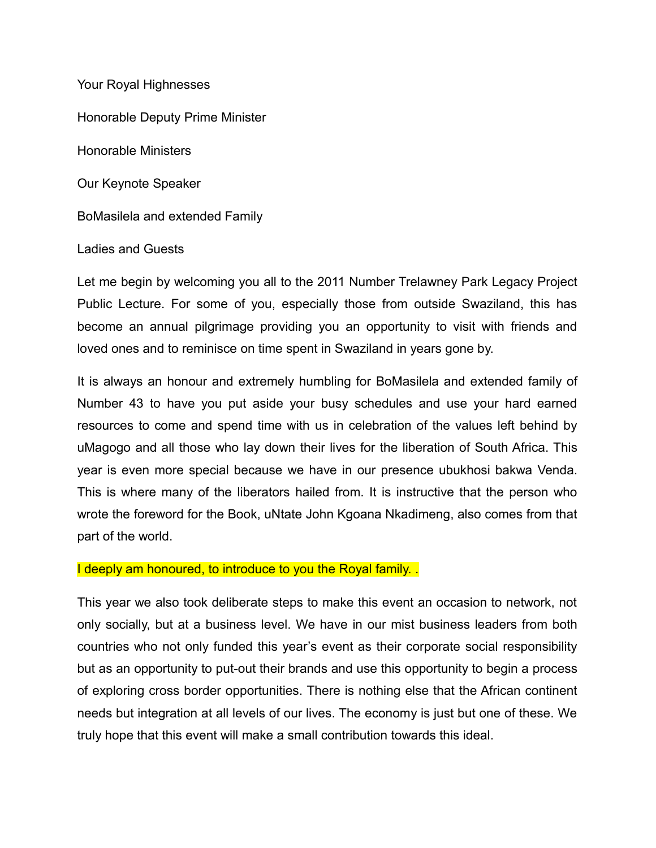Your Royal Highnesses Honorable Deputy Prime Minister Honorable Ministers Our Keynote Speaker BoMasilela and extended Family Ladies and Guests

Let me begin by welcoming you all to the 2011 Number Trelawney Park Legacy Project Public Lecture. For some of you, especially those from outside Swaziland, this has become an annual pilgrimage providing you an opportunity to visit with friends and loved ones and to reminisce on time spent in Swaziland in years gone by.

It is always an honour and extremely humbling for BoMasilela and extended family of Number 43 to have you put aside your busy schedules and use your hard earned resources to come and spend time with us in celebration of the values left behind by uMagogo and all those who lay down their lives for the liberation of South Africa. This year is even more special because we have in our presence ubukhosi bakwa Venda. This is where many of the liberators hailed from. It is instructive that the person who wrote the foreword for the Book, uNtate John Kgoana Nkadimeng, also comes from that part of the world.

## I deeply am honoured, to introduce to you the Royal family.

This year we also took deliberate steps to make this event an occasion to network, not only socially, but at a business level. We have in our mist business leaders from both countries who not only funded this year's event as their corporate social responsibility but as an opportunity to put-out their brands and use this opportunity to begin a process of exploring cross border opportunities. There is nothing else that the African continent needs but integration at all levels of our lives. The economy is just but one of these. We truly hope that this event will make a small contribution towards this ideal.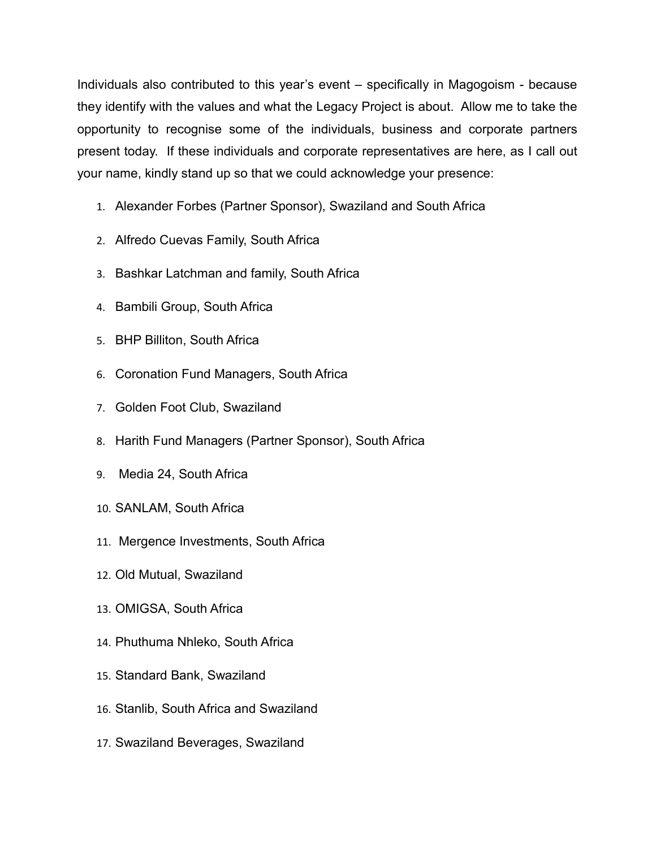Individuals also contributed to this year's event – specifically in Magogoism - because they identify with the values and what the Legacy Project is about. Allow me to take the opportunity to recognise some of the individuals, business and corporate partners present today. If these individuals and corporate representatives are here, as I call out your name, kindly stand up so that we could acknowledge your presence:

- 1. Alexander Forbes (Partner Sponsor), Swaziland and South Africa
- 2. Alfredo Cuevas Family, South Africa
- 3. Bashkar Latchman and family, South Africa
- 4. Bambili Group, South Africa
- 5. BHP Billiton, South Africa
- 6. Coronation Fund Managers, South Africa
- 7. Golden Foot Club, Swaziland
- 8. Harith Fund Managers (Partner Sponsor), South Africa
- 9. Media 24, South Africa
- 10. SANLAM, South Africa
- 11. Mergence Investments, South Africa
- 12. Old Mutual, Swaziland
- 13. OMIGSA, South Africa
- 14. Phuthuma Nhleko, South Africa
- 15. Standard Bank, Swaziland
- 16. Stanlib, South Africa and Swaziland
- 17. Swaziland Beverages, Swaziland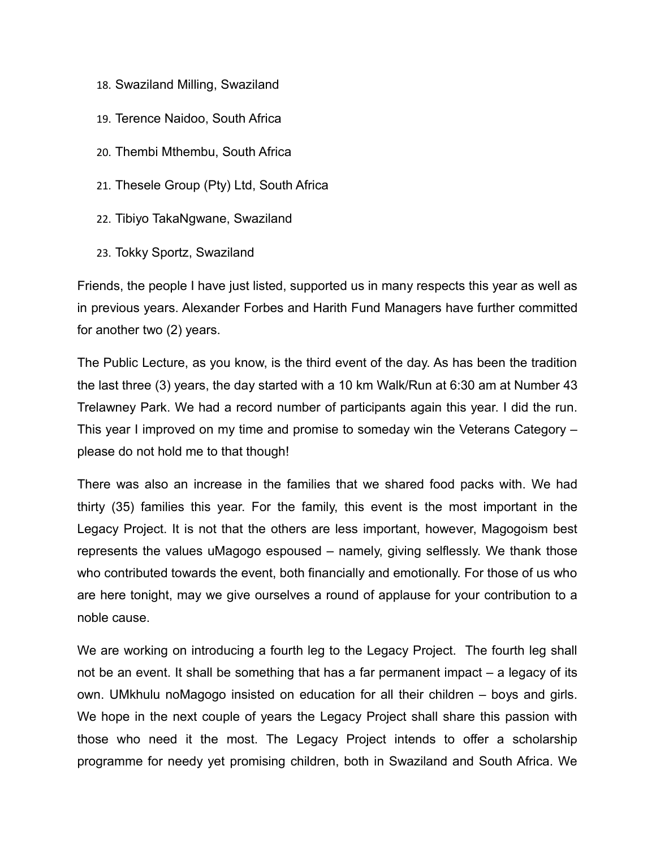- 18. Swaziland Milling, Swaziland
- 19. Terence Naidoo, South Africa
- 20. Thembi Mthembu, South Africa
- 21. Thesele Group (Pty) Ltd, South Africa
- 22. Tibiyo TakaNgwane, Swaziland
- 23. Tokky Sportz, Swaziland

Friends, the people I have just listed, supported us in many respects this year as well as in previous years. Alexander Forbes and Harith Fund Managers have further committed for another two (2) years.

The Public Lecture, as you know, is the third event of the day. As has been the tradition the last three (3) years, the day started with a 10 km Walk/Run at 6:30 am at Number 43 Trelawney Park. We had a record number of participants again this year. I did the run. This year I improved on my time and promise to someday win the Veterans Category – please do not hold me to that though!

There was also an increase in the families that we shared food packs with. We had thirty (35) families this year. For the family, this event is the most important in the Legacy Project. It is not that the others are less important, however, Magogoism best represents the values uMagogo espoused – namely, giving selflessly. We thank those who contributed towards the event, both financially and emotionally. For those of us who are here tonight, may we give ourselves a round of applause for your contribution to a noble cause.

We are working on introducing a fourth leg to the Legacy Project. The fourth leg shall not be an event. It shall be something that has a far permanent impact – a legacy of its own. UMkhulu noMagogo insisted on education for all their children – boys and girls. We hope in the next couple of years the Legacy Project shall share this passion with those who need it the most. The Legacy Project intends to offer a scholarship programme for needy yet promising children, both in Swaziland and South Africa. We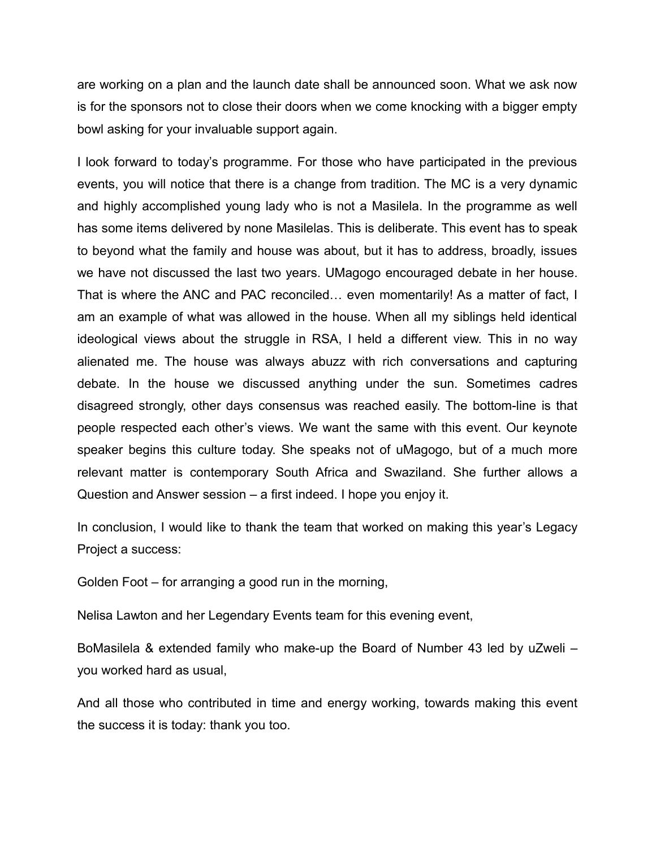are working on a plan and the launch date shall be announced soon. What we ask now is for the sponsors not to close their doors when we come knocking with a bigger empty bowl asking for your invaluable support again.

I look forward to today's programme. For those who have participated in the previous events, you will notice that there is a change from tradition. The MC is a very dynamic and highly accomplished young lady who is not a Masilela. In the programme as well has some items delivered by none Masilelas. This is deliberate. This event has to speak to beyond what the family and house was about, but it has to address, broadly, issues we have not discussed the last two years. UMagogo encouraged debate in her house. That is where the ANC and PAC reconciled… even momentarily! As a matter of fact, I am an example of what was allowed in the house. When all my siblings held identical ideological views about the struggle in RSA, I held a different view. This in no way alienated me. The house was always abuzz with rich conversations and capturing debate. In the house we discussed anything under the sun. Sometimes cadres disagreed strongly, other days consensus was reached easily. The bottom-line is that people respected each other's views. We want the same with this event. Our keynote speaker begins this culture today. She speaks not of uMagogo, but of a much more relevant matter is contemporary South Africa and Swaziland. She further allows a Question and Answer session – a first indeed. I hope you enjoy it.

In conclusion, I would like to thank the team that worked on making this year's Legacy Project a success:

Golden Foot – for arranging a good run in the morning,

Nelisa Lawton and her Legendary Events team for this evening event,

BoMasilela & extended family who make-up the Board of Number 43 led by uZweli – you worked hard as usual,

And all those who contributed in time and energy working, towards making this event the success it is today: thank you too.